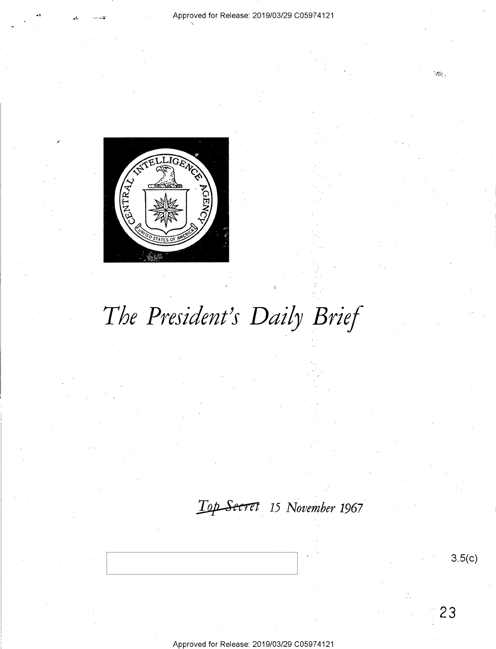

# *The President's Daily Brief*

### ~ **15** *November* **1967**

Approved for Release: 2019/03/29 C0597 4121

**3.5(c)** 

**23** 

 $\mathcal{R}_{\rm eff}^{\rm 2}$  .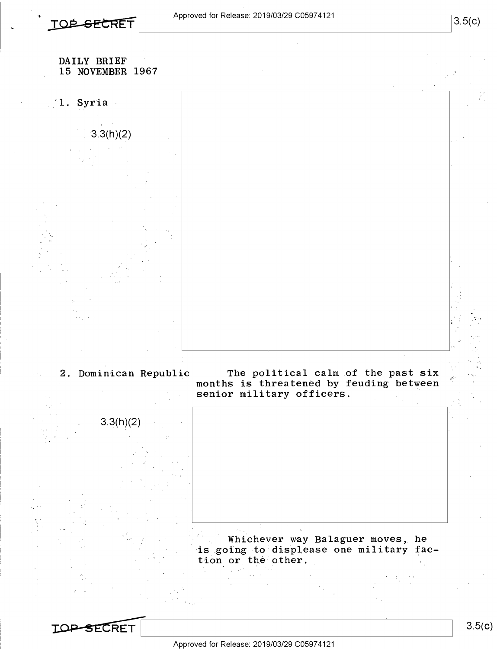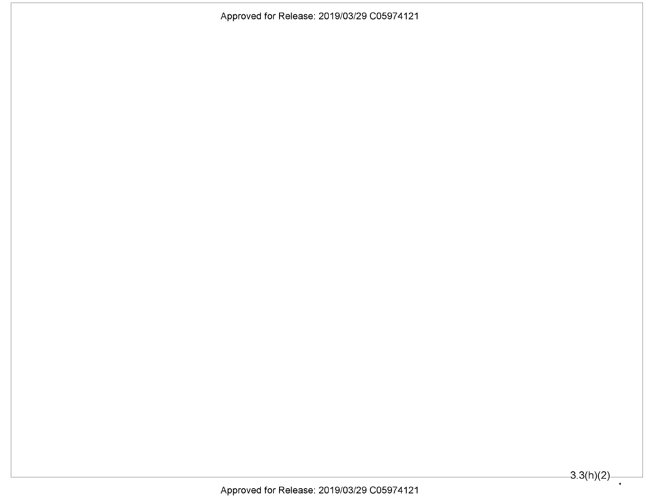Approved for Release: 2019/03/29 C05974121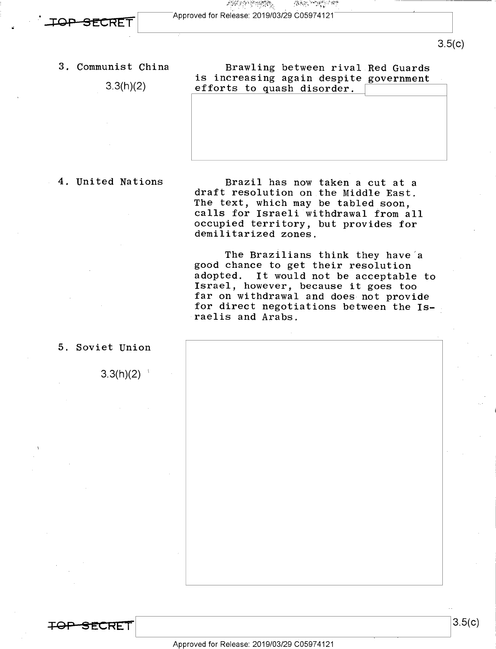网络网络胸膜 ' ' Approved for Release: 2019/03/29 C0597 4121

efforts to quash disorder.

. **ror SE'.'.CRET** 

3. Communist China

3.3(h)(2)

### 4. United Nations

Brazil has now taken a cut at a draft resolution on the Middle East. The text, which may be tabled soon, calls for Israeli withdrawal from all occupied territory, but provides for demilitarized zones.

Brawling between rival Red Guards

is increasing again despite government

**JOSE WORK LOWER** 

The Brazilians think they have'a good chance to get their resolution adopted. It would not be acceptable to Israel, however, because it goes too far on withdrawal and does not provide for direct negotiations between the Israelis and Arabs.

5. Soviet Union

 $3.3(h)(2)$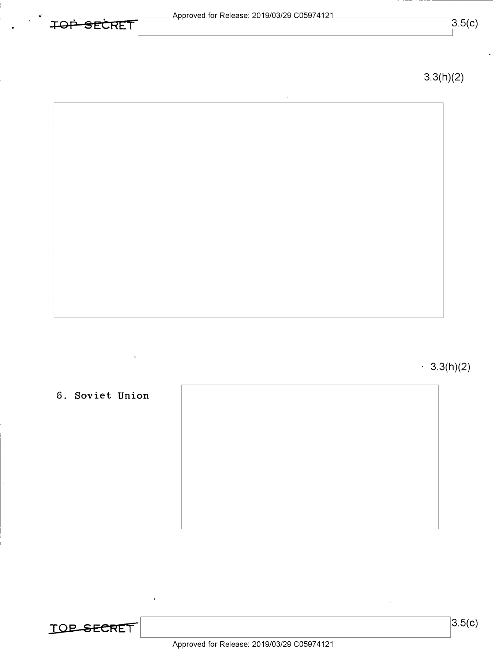| $T\cap T$ |    |        |  |
|-----------|----|--------|--|
|           | ــ | SECRFI |  |

 $3.5(c)$ 

3.3(h)(2)

 $\cdot$  3.3(h)(2)

### **6. Soviet Union**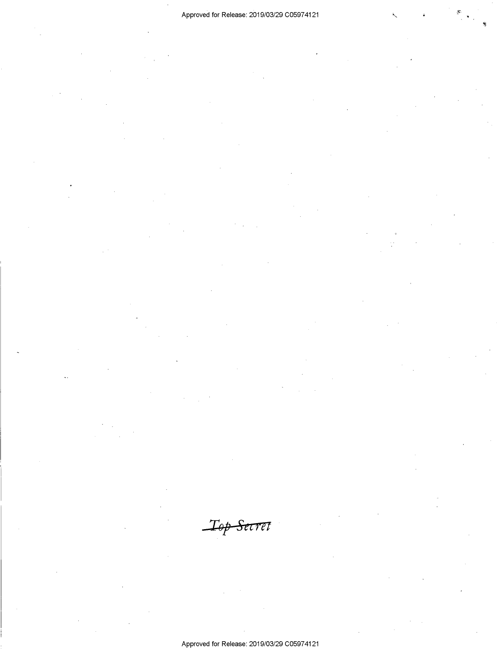*Tsp Stern* 

Approved for Release: 2019/03/29 C0597 4121

 $\dot{\mathbf{s}}$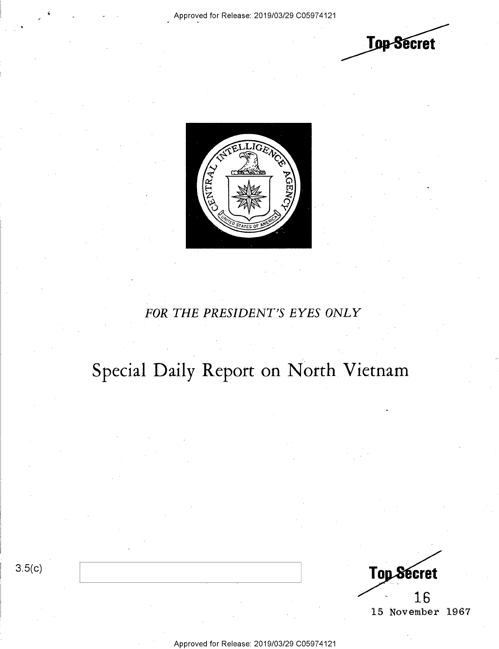



### *FOR THE PRESIDENT'S EYES ONLY*

## **Special Daily Report on North Vietnam**

3.5(c)

Top Secret 16 15 November 1967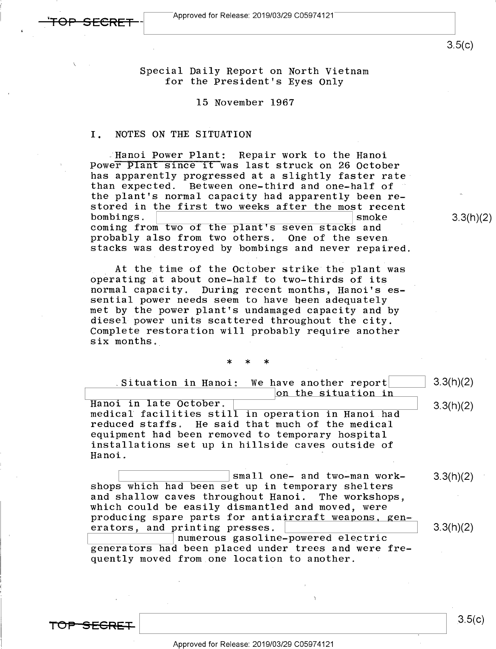3.5(c)

 $3.3(h)(2)$ 

Special Daily Report on North Vietnam for the President's Eyes Only

### 15 November 1967

### I. NOTES ON THE SITUATION

.Hanoi Power Plant: Repair work to the Hanoi Power Plant since it was last struck on 26 October has apparently progressed at a slightly faster rate than expected. Between one-third and one-half of the plant's normal capacity had apparently been restored in the first two weeks after the most recent<br>bombings. bombings. coming from two of the plant's seven stacks and probably also from two others. One of the seven stacks was destroyed by bombings and never repaired.

At the time of the October strike the plant was operating at about one-half to two-thirds of its normal capacity. During recent months, Hanoi's essential power needs seem to have been adequately met by the power plant's undamaged capacity and by diesel power units scattered throughout the city. Complete restoration will probably require another six months.

\* \* \*

Situation in Hanoi: We have another report on the situation in Hanoi in late October.<br>"medical facilities still in operation in Hanoi had reduced staffs. He said that much of the medical equipment had been removed to temporary hospital installations set up in hillside caves outside of Hanoi. 3.3(h)(2) 3.3(h)(2)

~--------~ small one- and two-man work-shops which had been set up in temporary shelters and shallow caves throughout Hanoi. The workshops, which could be easily dismantled and moved, were producing spare parts for antiaircraft weapons, gen-<br>erators, and printing presses. erators, and printing presses. 3.3(h)(2) 3.3(h)(2)

numerous gasoline-powered electric generators had been placed under trees and were frequently moved from one location to another.

**T019 SEGRE+**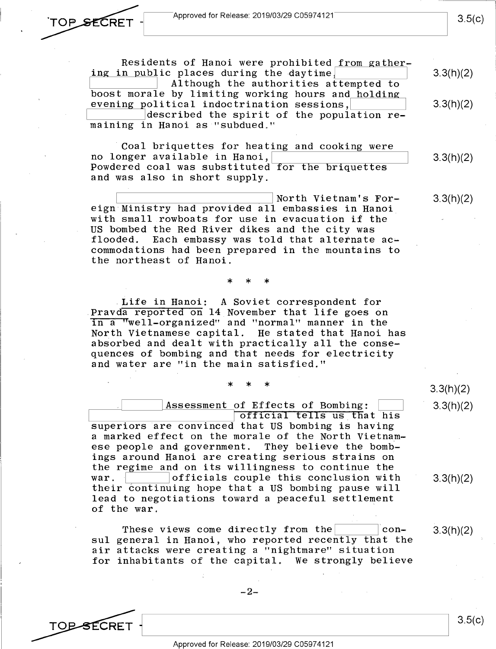Approved for Release: 2019/03/29 C05974121

TOP SECRET

TO<del>P S</del>ECRET

Residents of Hanoi were prohibited from gathering in public places during the daytime, Although the authorities attempted to boost morale by limiting working hours and holding evening political indoctrination sessions, described the spirit of the population  $re$ maining in Hanoi as "subdued."

Coal briquettes for heating and cooking were<br>no longer available in Hanoi. Powdered coal was substituted for the briquettes and was also in short supply.

~------------~ North Vietnam's For-eign Ministry had provided all embassies in Hanoi with small rowboats for use in evacuation if the US bombed the Red River dikes and the city was flooded. Each embassy was told that alternate accommodations had been prepared in the mountains to the northeast of Hanoi. 3.3(h)(2)

\* \* \*

. Life in Hanoi: A Soviet correspondent for Pravda reported on 14 November that life goes on in a "well-organized" and "normal" manner in the North Vietnamese capital. absorbed and dealt with practically all the consequences of bombing and that needs for electricity and water are "in the main satisfied."

\* \* \*

Assessment of Effects of Bombing: official tells us that his superiors are convinced that US bombing is having a marked effect on the morale of the North Vietnamese people and government. They believe the bombings around Hanoi are creating serious strains on the regime and on its willingness to continue the war.  $\vert$  officials couple this conclusion with their continuing hope that a US bombing pause will lead to negotiations toward a peaceful settlement of the war.

These views come directly from the  $|$  consul general in Hanoi, who reported recently that the air attacks were creating a "nightmare" situation for inhabitants of the capital. We strongly believe

Approved for Release: 2019/03/29 C0597 4121

3.3(h)(2) 3.3(h)(2)

 $3.5(c)$ 

3.3(h)(2)

3.3(h)(2)

3.3(h)(2)

3.3(h)(2)

3.3(h)(2)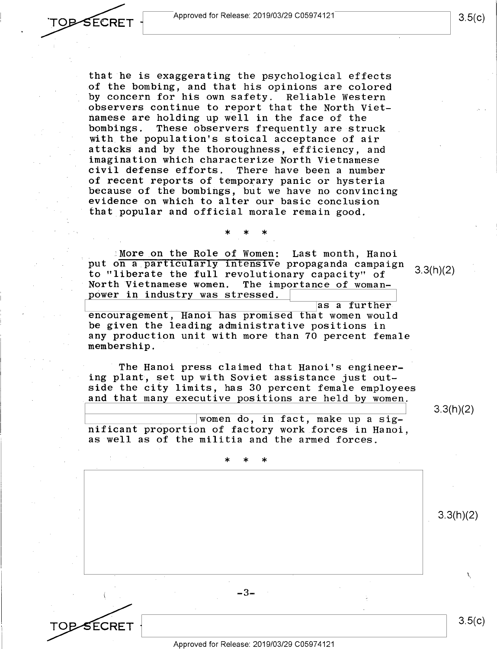

that he is exaggerating the psychological effects of the bombing, and that his opinions are colored by concern for his own safety. Reliable western observers continue to report that the North Vietnamese are holding up well in the face of the bombings. These observers frequently are struck with the population's stoical acceptance of air attacks and by the thoroughness, efficiency, and imagination which characterize North Vietnamese There have been a number of recent reports of temporary panic or hysteria because of the bombings, but we have no convincing evidence on which to alter our basic conclusion that popular and official morale remain good.

:More on the Role of Women: Last month, Hanoi put on a particularly intensive propaganda campaign to "liberate the full revolutionary capacity" of The importance of woman-3.3(h)(2) power in industry was stressed.

\* \* \*

as a further  $r$  encouragement, Hanoi has promised that women would be given the leading administrative positions in any production unit with more than 70 percent female membership.

The Hanoi press claimed that Hanoi's engineering plant, set up with Soviet assistance just outside the city limits, has 30 percent female employees and that many executive positions are held by women.

women do, in fact, make up a significant proportion of factory work forces in Hanoi, as well as of the militia and the armed forces.

\* \* \*

SECRET

I

Approved for Release: 2019/03/29 C0597 4121

-3-

3.3(h)(2)

I

3.3(h)(2)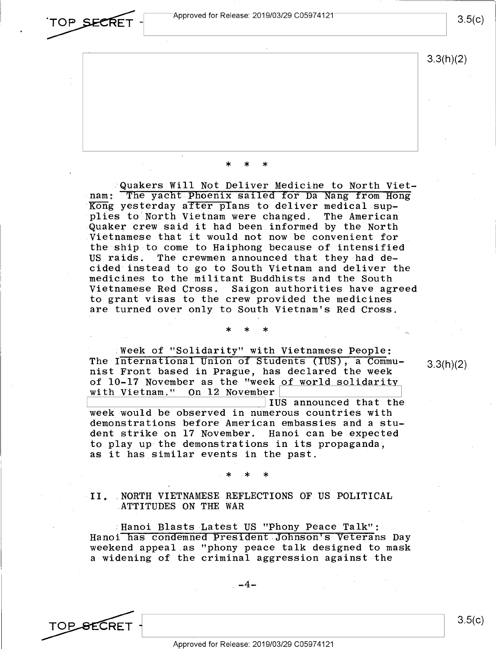Quakers Will Not Deliver Medicihe to North Vietnam: The yacht.Phoenix sailed for Da Nang from Hong Kong yesterday after plans to deliver medical supplies to North Vietnam were changed. The American Quaker crew said it had been informed by the North Vietnamese that it would not now be convenient for the ship to come to Haiphong because of intensified US raids. The crewmen announced that they had decided instead to go to South Vietnam and deliver the medicines to the militant Buddhists and the South<br>Vietnamese Red Cross. Saigon authorities have ag Saigon authorities have agreed to grant visas to the crew provided the medicines are turned over only to South Vietnam's Red Cross.

\* \* \*

Week of "Solidarity" with Vietnamese People: The International Union of students (IUS), a Communist Front based in Prague, has declared the week of  $10-17$  November as the "week of world solidarity<br>with Vietnam." On 12 November with Vietnam." On 12 November<br>IUS announced that the

\* \* \*

with Vietnam." On 12 November<br>
IUS announced that the<br>
week would be observed in numerous countries with demonstrations before American embassies and a student strike on 17 November. Hanoi can be expected to play up the demonstrations in its propaganda, as it has similar events in the past.

\* \* \*

### II. NORTH VIETNAMESE REFLECTIONS OF US POLITICAL ATTITUDES ON THE WAR

Hanoi Blasts Latest US "Phony Peace Talk": Hanoi has condemned President Johnson's veterans Day weekend appeal as "phony peace talk designed to mask a widening of the criminal aggression against the



3.5(c)

3.3(h)(2)

3.3(h)(2)

TOP **SECRET** - Approved for Release: 2019/03/29 C05974121  $~^{\circ}$ TOP SECRET - $\overbrace{ }^{^\circ}$ Approved for Release: 2019/03/29 C05974121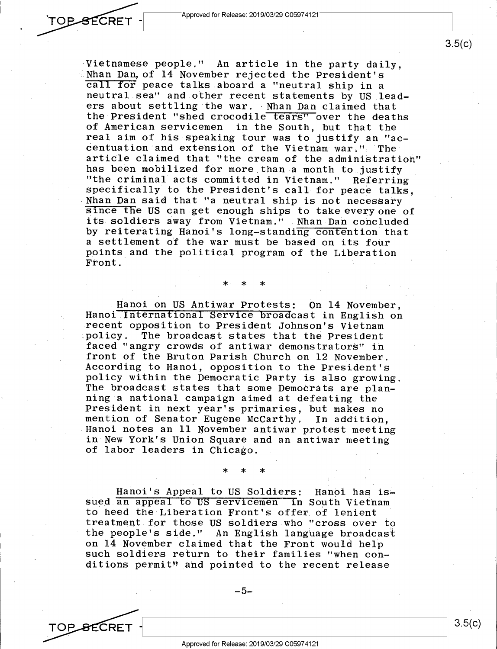

TOP\_<del>S</del>ECRET

Vietnamese people." An article in the party daily, Nhan Dan, of 14 November rejected the President's call for peace talks aboard a "neutral ship in <sup>a</sup> neutral sea" and.other recent statements by US leaders about settling the war. · Nhan Dan claimed that the President "shed crocodile tears" over the deaths of American servicemen in the South, but that the real aim of his speaking tour was to justify an "accentuation·and extension of the Vietnam war." The article claimed that "the cream of the administration" has been mobilized for more than a month to justify ''the criminal acts committed in Vietnam." Referring specifically to the President's call for peace talks, Nhan Dan said that "a neutral ship is not necessary <sup>s</sup>1nce the US can get enough ships to take every one of its soldiers away from Vietnam." Nhan Dan concluded by reiterating Hanoi's long-standing contention that <sup>a</sup>settlement of the war must be based on its four points and the political program of the Liberation Front.

### \* \* \*

Hanoi on US Antiwar Protests: On 14 November, Hanoi International Service broadcast in English on recent opposition to President Johnson's Vietnam policy. The broadcast states that the President faced "angry crowds of antiwar demonstrators" in front of the Bruton Parish Church on 12 November. According to Hanoi, opposition to the President's policy within the Democratic Party is also growing. The broadcast states that some Democrats are planning a national campaign aimed at defeating the President in next year's primaries, but makes no mention of Senator Eugene McCarthy. In addition, Hanoi notes an 11 November antiwar protest meeting in New York's Union Square and an antiwar meeting of labor leaders in Chicago.

Hanoi's Appeal to US Soldiers: Hanoi has issued an appeal to US servicemen in South Vietnam to heed the Liberation Front's offer of lenient treatment for those US soldiers who "cross over to the people's side." An English lang'uage broadcast on 14 November claimed that the Front would help such soldiers return to their families "when conditions permit" and pointed to the recent release

\* \* \*

 $-5-$ 

3.5(c)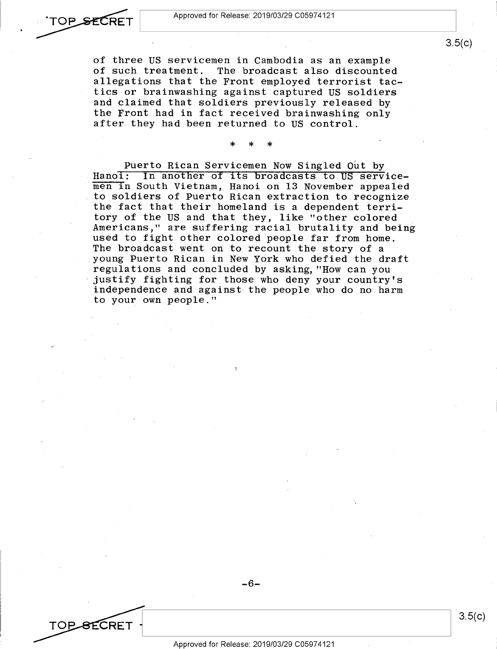#### Approved for Release: 2019/03/29 C0597 4121

TOP SECRET

TOP SECRET

of three US servicemen in Cambodia as an example<br>of such treatment. The broadcast also discounte The broadcast also discounted. allegations that the Front employed terrorist tactics or brainwashing against captured US soldiers and claimed that soldiers previously released by the Front had in fact received brainwashing only after they had been returned to US control.

\* \* \*

Puerto Rican Servicemen Now Singled Out by Hanoi: In another of its broadcasts to US servicemen in South Vietnam, Hanoi on 13 November appealed to soldiers of Puerto Rican extraction to recognize the fact that their homeland is a dependent territory of the US and that they, like "other colored Americans," are suffering racial brutality and being used to fight other colored people far from home. The broadcast went on to recount the story of a young Puerto Rican in New York who defied the draft regulations and concluded by asking, "How can you justify fighting for those who deny your country's independence and against the people who do no harm to your own people."